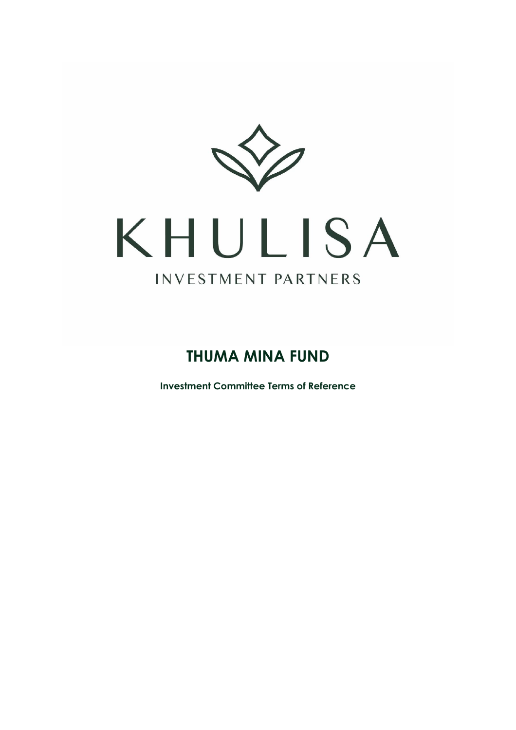

# KHULISA INVESTMENT PARTNERS

# **THUMA MINA FUND**

**Investment Committee Terms of Reference**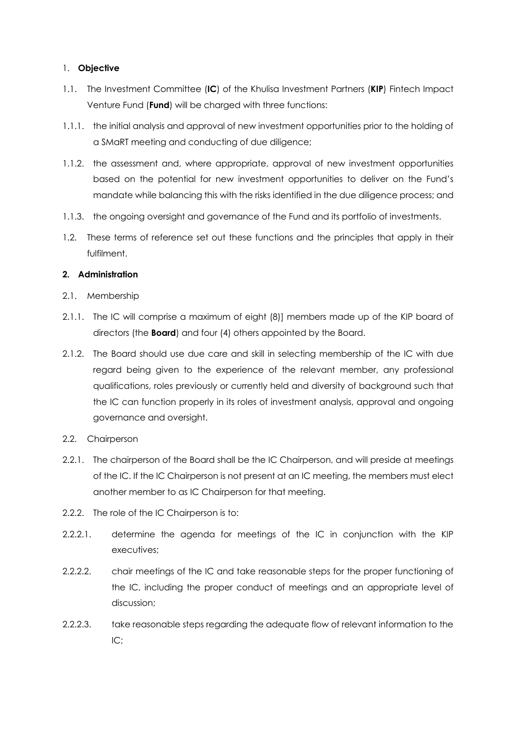## 1. **Objective**

- 1.1. The Investment Committee (**IC**) of the Khulisa Investment Partners (**KIP**) Fintech Impact Venture Fund (**Fund**) will be charged with three functions:
- 1.1.1. the initial analysis and approval of new investment opportunities prior to the holding of a SMaRT meeting and conducting of due diligence;
- 1.1.2. the assessment and, where appropriate, approval of new investment opportunities based on the potential for new investment opportunities to deliver on the Fund's mandate while balancing this with the risks identified in the due diligence process; and
- 1.1.3. the ongoing oversight and governance of the Fund and its portfolio of investments.
- 1.2. These terms of reference set out these functions and the principles that apply in their fulfilment.

# **2. Administration**

- 2.1. Membership
- 2.1.1. The IC will comprise a maximum of eight (8)] members made up of the KIP board of directors (the **Board**) and four (4) others appointed by the Board.
- 2.1.2. The Board should use due care and skill in selecting membership of the IC with due regard being given to the experience of the relevant member, any professional qualifications, roles previously or currently held and diversity of background such that the IC can function properly in its roles of investment analysis, approval and ongoing governance and oversight.
- 2.2. Chairperson
- 2.2.1. The chairperson of the Board shall be the IC Chairperson, and will preside at meetings of the IC. If the IC Chairperson is not present at an IC meeting, the members must elect another member to as IC Chairperson for that meeting.
- 2.2.2. The role of the IC Chairperson is to:
- 2.2.2.1. determine the agenda for meetings of the IC in conjunction with the KIP executives;
- 2.2.2.2. chair meetings of the IC and take reasonable steps for the proper functioning of the IC, including the proper conduct of meetings and an appropriate level of discussion;
- 2.2.2.3. take reasonable steps regarding the adequate flow of relevant information to the IC;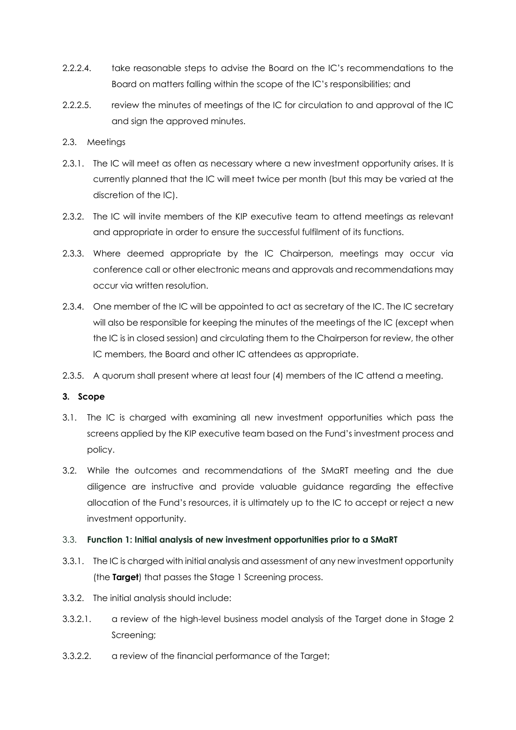- 2.2.2.4. take reasonable steps to advise the Board on the IC's recommendations to the Board on matters falling within the scope of the IC's responsibilities; and
- 2.2.2.5. review the minutes of meetings of the IC for circulation to and approval of the IC and sign the approved minutes.

## 2.3. Meetings

- 2.3.1. The IC will meet as often as necessary where a new investment opportunity arises. It is currently planned that the IC will meet twice per month (but this may be varied at the discretion of the IC).
- 2.3.2. The IC will invite members of the KIP executive team to attend meetings as relevant and appropriate in order to ensure the successful fulfilment of its functions.
- 2.3.3. Where deemed appropriate by the IC Chairperson, meetings may occur via conference call or other electronic means and approvals and recommendations may occur via written resolution.
- 2.3.4. One member of the IC will be appointed to act as secretary of the IC. The IC secretary will also be responsible for keeping the minutes of the meetings of the IC (except when the IC is in closed session) and circulating them to the Chairperson for review, the other IC members, the Board and other IC attendees as appropriate.
- 2.3.5. A quorum shall present where at least four (4) members of the IC attend a meeting.

#### **3. Scope**

- 3.1. The IC is charged with examining all new investment opportunities which pass the screens applied by the KIP executive team based on the Fund's investment process and policy.
- 3.2. While the outcomes and recommendations of the SMaRT meeting and the due diligence are instructive and provide valuable guidance regarding the effective allocation of the Fund's resources, it is ultimately up to the IC to accept or reject a new investment opportunity.

#### 3.3. **Function 1: Initial analysis of new investment opportunities prior to a SMaRT**

- 3.3.1. The IC is charged with initial analysis and assessment of any new investment opportunity (the **Target**) that passes the Stage 1 Screening process.
- 3.3.2. The initial analysis should include:
- 3.3.2.1. a review of the high-level business model analysis of the Target done in Stage 2 Screening;
- 3.3.2.2. a review of the financial performance of the Target;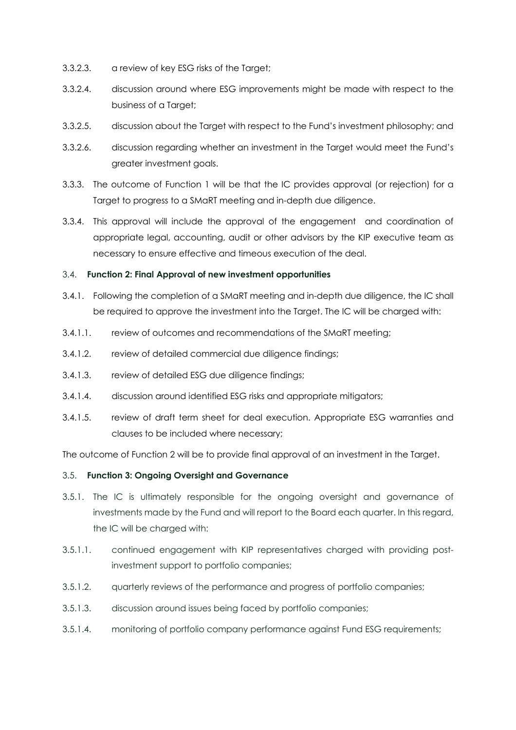- 3.3.2.3. a review of key ESG risks of the Target;
- 3.3.2.4. discussion around where ESG improvements might be made with respect to the business of a Target;
- 3.3.2.5. discussion about the Target with respect to the Fund's investment philosophy; and
- 3.3.2.6. discussion regarding whether an investment in the Target would meet the Fund's greater investment goals.
- 3.3.3. The outcome of Function 1 will be that the IC provides approval (or rejection) for a Target to progress to a SMaRT meeting and in-depth due diligence.
- 3.3.4. This approval will include the approval of the engagement and coordination of appropriate legal, accounting, audit or other advisors by the KIP executive team as necessary to ensure effective and timeous execution of the deal.

#### 3.4. **Function 2: Final Approval of new investment opportunities**

- 3.4.1. Following the completion of a SMaRT meeting and in-depth due diligence, the IC shall be required to approve the investment into the Target. The IC will be charged with:
- 3.4.1.1. review of outcomes and recommendations of the SMaRT meeting;
- 3.4.1.2. review of detailed commercial due diligence findings;
- 3.4.1.3. review of detailed ESG due diligence findings;
- 3.4.1.4. discussion around identified ESG risks and appropriate mitigators;
- 3.4.1.5. review of draft term sheet for deal execution. Appropriate ESG warranties and clauses to be included where necessary;

The outcome of Function 2 will be to provide final approval of an investment in the Target.

#### 3.5. **Function 3: Ongoing Oversight and Governance**

- 3.5.1. The IC is ultimately responsible for the ongoing oversight and governance of investments made by the Fund and will report to the Board each quarter. In this regard, the IC will be charged with:
- 3.5.1.1. continued engagement with KIP representatives charged with providing postinvestment support to portfolio companies;
- 3.5.1.2. quarterly reviews of the performance and progress of portfolio companies;
- 3.5.1.3. discussion around issues being faced by portfolio companies;
- 3.5.1.4. monitoring of portfolio company performance against Fund ESG requirements;